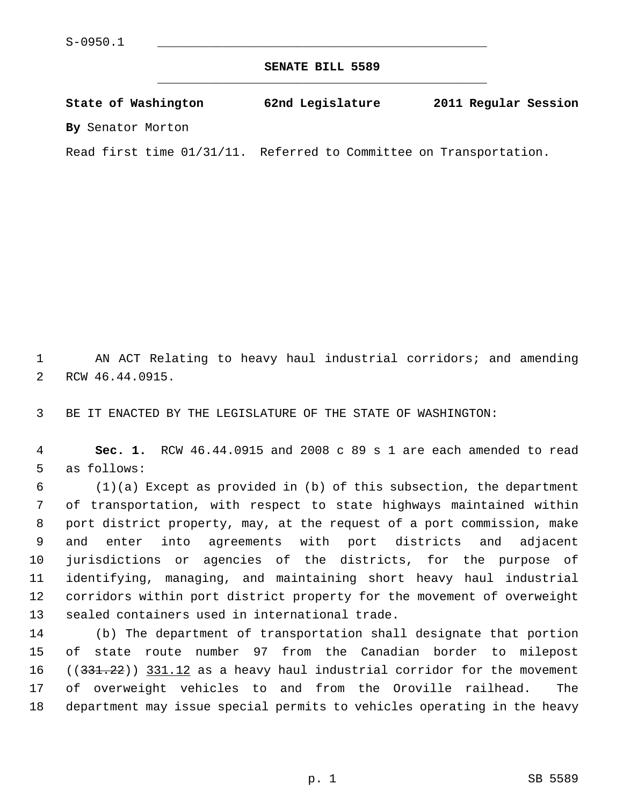**SENATE BILL 5589** \_\_\_\_\_\_\_\_\_\_\_\_\_\_\_\_\_\_\_\_\_\_\_\_\_\_\_\_\_\_\_\_\_\_\_\_\_\_\_\_\_\_\_\_\_

**State of Washington 62nd Legislature 2011 Regular Session By** Senator Morton

Read first time 01/31/11. Referred to Committee on Transportation.

 1 AN ACT Relating to heavy haul industrial corridors; and amending 2 RCW 46.44.0915.

3 BE IT ENACTED BY THE LEGISLATURE OF THE STATE OF WASHINGTON:

 4 **Sec. 1.** RCW 46.44.0915 and 2008 c 89 s 1 are each amended to read 5 as follows:

 6 (1)(a) Except as provided in (b) of this subsection, the department 7 of transportation, with respect to state highways maintained within 8 port district property, may, at the request of a port commission, make 9 and enter into agreements with port districts and adjacent 10 jurisdictions or agencies of the districts, for the purpose of 11 identifying, managing, and maintaining short heavy haul industrial 12 corridors within port district property for the movement of overweight 13 sealed containers used in international trade.

14 (b) The department of transportation shall designate that portion 15 of state route number 97 from the Canadian border to milepost 16 ((331.22)) 331.12 as a heavy haul industrial corridor for the movement 17 of overweight vehicles to and from the Oroville railhead. The 18 department may issue special permits to vehicles operating in the heavy